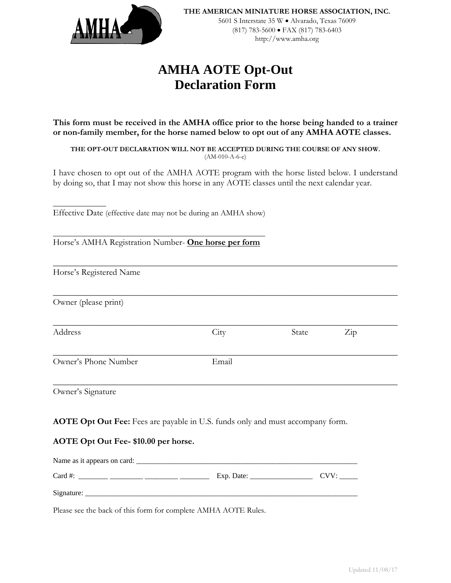

http://www.amha.org

# **AMHA AOTE Opt-Out Declaration Form**

**This form must be received in the AMHA office prior to the horse being handed to a trainer or non-family member, for the horse named below to opt out of any AMHA AOTE classes.** 

**THE OPT-OUT DECLARATION WILL NOT BE ACCEPTED DURING THE COURSE OF ANY SHOW.**  (AM-010-A-6-e)

I have chosen to opt out of the AMHA AOTE program with the horse listed below. I understand by doing so, that I may not show this horse in any AOTE classes until the next calendar year.

\_\_\_\_\_\_\_\_\_\_\_\_\_\_\_\_\_\_\_\_\_\_\_\_\_\_\_\_\_\_\_\_\_\_\_\_\_\_\_\_\_\_\_\_\_\_\_\_\_\_\_\_\_\_\_\_\_\_\_\_\_\_\_\_\_\_\_\_\_\_\_\_\_\_\_\_\_\_

\_\_\_\_\_\_\_\_\_\_\_\_\_\_\_\_\_\_\_\_\_\_\_\_\_\_\_\_\_\_\_\_\_\_\_\_\_\_\_\_\_\_\_\_\_\_\_\_\_\_\_\_\_\_\_\_\_\_\_\_\_\_\_\_\_\_\_\_\_\_\_\_\_\_\_\_\_\_

**\_\_\_\_\_\_\_\_\_\_\_\_\_\_\_\_\_\_\_\_\_\_\_\_\_\_\_\_\_\_\_\_\_\_\_\_\_\_\_\_\_\_\_\_\_\_\_\_\_\_\_\_\_\_\_\_\_\_\_\_\_\_\_\_\_\_\_\_\_\_\_\_\_\_\_\_\_\_** 

\_\_\_\_\_\_\_\_\_\_\_\_\_\_\_\_\_\_\_\_\_\_\_\_\_\_\_\_\_\_\_\_\_\_\_\_\_\_\_\_\_\_\_\_\_\_\_\_\_\_\_\_\_\_\_\_\_\_\_\_\_\_\_\_\_\_\_\_\_\_\_\_\_\_\_\_\_\_

\_\_\_\_\_\_\_\_\_\_\_\_\_\_\_\_\_\_\_\_\_\_\_\_\_\_\_\_\_\_\_\_\_\_\_\_\_\_\_\_\_\_\_\_\_\_\_\_\_\_\_\_\_\_\_\_\_\_\_\_\_\_\_\_\_\_\_\_\_\_\_\_\_\_\_\_\_\_

Effective Date (effective date may not be during an AMHA show)

Horse's AMHA Registration Number- **One horse per form**

Horse's Registered Name

Owner (please print)

Address City State Zip

 $\overline{a}$ 

 $\overline{a}$ 

Owner's Phone Number Email

Owner's Signature

**AOTE Opt Out Fee:** Fees are payable in U.S. funds only and must accompany form.

## **AOTE Opt Out Fee- \$10.00 per horse.**

| Name as it appears on card: |            |     |
|-----------------------------|------------|-----|
| Card #:                     | Exp. Date: | CVV |
| Signature:                  |            |     |

Please see the back of this form for complete AMHA AOTE Rules.